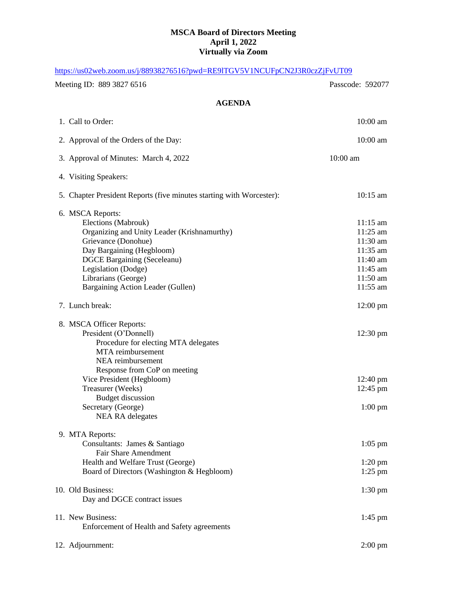## **MSCA Board of Directors Meeting April 1, 2022 Virtually via Zoom**

| https://us02web.zoom.us/j/88938276516?pwd=RE9ITGV5V1NCUFpCN2J3R0czZjFvUT09                                                                                                                                                                                          |                                                                                                          |
|---------------------------------------------------------------------------------------------------------------------------------------------------------------------------------------------------------------------------------------------------------------------|----------------------------------------------------------------------------------------------------------|
| Meeting ID: 889 3827 6516                                                                                                                                                                                                                                           | Passcode: 592077                                                                                         |
| <b>AGENDA</b>                                                                                                                                                                                                                                                       |                                                                                                          |
| 1. Call to Order:                                                                                                                                                                                                                                                   | $10:00$ am                                                                                               |
| 2. Approval of the Orders of the Day:                                                                                                                                                                                                                               | $10:00$ am                                                                                               |
| 3. Approval of Minutes: March 4, 2022                                                                                                                                                                                                                               | 10:00 am                                                                                                 |
| 4. Visiting Speakers:                                                                                                                                                                                                                                               |                                                                                                          |
| 5. Chapter President Reports (five minutes starting with Worcester):                                                                                                                                                                                                | $10:15$ am                                                                                               |
| 6. MSCA Reports:<br>Elections (Mabrouk)<br>Organizing and Unity Leader (Krishnamurthy)<br>Grievance (Donohue)<br>Day Bargaining (Hegbloom)<br><b>DGCE Bargaining (Seceleanu)</b><br>Legislation (Dodge)<br>Librarians (George)<br>Bargaining Action Leader (Gullen) | $11:15 \text{ am}$<br>11:25 am<br>11:30 am<br>11:35 am<br>11:40 am<br>11:45 am<br>$11:50$ am<br>11:55 am |
| 7. Lunch break:                                                                                                                                                                                                                                                     | $12:00 \text{ pm}$                                                                                       |
| 8. MSCA Officer Reports:<br>President (O'Donnell)<br>Procedure for electing MTA delegates<br>MTA reimbursement<br>NEA reimbursement<br>Response from CoP on meeting                                                                                                 | $12:30 \text{ pm}$                                                                                       |
| Vice President (Hegbloom)<br>Treasurer (Weeks)<br><b>Budget discussion</b><br>Secretary (George)<br><b>NEA RA</b> delegates                                                                                                                                         | $12:40 \text{ pm}$<br>12:45 pm<br>$1:00\;{\rm pm}$                                                       |
| 9. MTA Reports:<br>Consultants: James & Santiago<br><b>Fair Share Amendment</b><br>Health and Welfare Trust (George)<br>Board of Directors (Washington & Hegbloom)                                                                                                  | $1:05$ pm<br>$1:20$ pm<br>$1:25$ pm                                                                      |
| 10. Old Business:<br>Day and DGCE contract issues                                                                                                                                                                                                                   | $1:30 \text{ pm}$                                                                                        |
| 11. New Business:<br>Enforcement of Health and Safety agreements                                                                                                                                                                                                    | $1:45$ pm                                                                                                |
| 12. Adjournment:                                                                                                                                                                                                                                                    | $2:00$ pm                                                                                                |